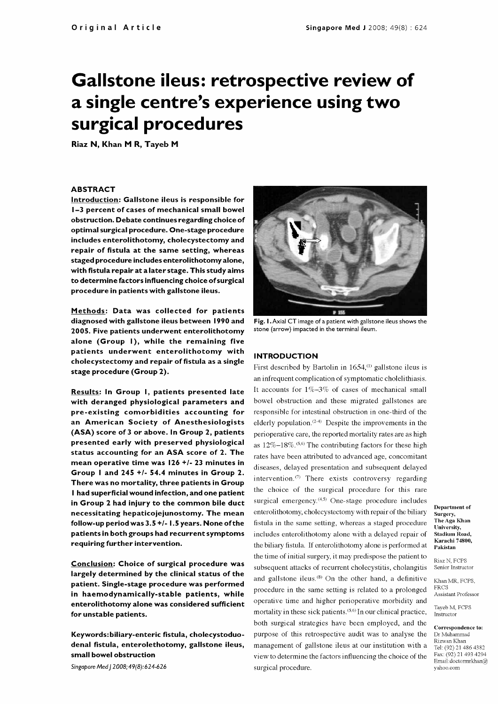# Gallstone ileus: retrospective review of a single centre's experience using two surgical procedures

Riaz N, Khan M R, Tayeb M

## ABSTRACT

Introduction: Gallstone ileus is responsible for 1-3 percent of cases of mechanical small bowel obstruction. Debate continues regarding choice of optimal surgical procedure. One -stage procedure includes enterolithotomy, cholecystectomy and repair of fistula at the same setting, whereas staged procedure includes enterolithotomy alone, with fistula repair at a later stage. This study aims to determine factors influencing choice of surgical procedure in patients with gallstone ileus.

Methods: Data was collected for patients diagnosed with gallstone ileus between 1990 and 2005. Five patients underwent enterolithotomy alone (Group I), while the remaining five patients underwent enterolithotomy with cholecystectomy and repair of fistula as a single stage procedure (Group 2).

Results: In Group I, patients presented late with deranged physiological parameters and pre-existing comorbidities accounting for an American Society of Anesthesiologists (ASA) score of 3 or above. In Group 2, patients presented early with preserved physiological status accounting for an ASA score of 2. The mean operative time was 126 +/- 23 minutes in Group I and 245 +/- 54.4 minutes in Group 2. There was no mortality, three patients in Group<br>Liked superficial wound infection and one patient. the choice of the surgical procedure for this rare <sup>I</sup>had superficial wound infection, and one patient in Group 2 had injury to the common bile duct necessitating hepaticojejunostomy. The mean follow-up period was 3.5 +/- 1.5 years. None of the patients in both groups had recurrent symptoms requiring further intervention.

Conclusion: Choice of surgical procedure was largely determined by the clinical status of the patient. Single -stage procedure was performed in haemodynamically-stable patients, while enterolithotomy alone was considered sufficient for unstable patients.

Keywords: biliary-enteric fistula, cholecystoduodenal fistula, enterolethotomy, gallstone ileus, small bowel obstruction

Singapore Med J 2008; 49(8): 624-626



Fig. I. Axial CT image of a patient with gallstone ileus shows the stone (arrow) impacted in the terminal ileum.

#### INTRODUCTION

First described by Bartolin in 1654,<sup>(1)</sup> gallstone ileus is an infrequent complication of symptomatic cholelithiasis. It accounts for 1%-3% of cases of mechanical small bowel obstruction and these migrated gallstones are responsible for intestinal obstruction in one-third of the elderly population.<sup>(2-4)</sup> Despite the improvements in the perioperative care, the reported mortality rates are as high as  $12\% - 18\%$ .<sup>(5,6)</sup> The contributing factors for these high rates have been attributed to advanced age, concomitant diseases, delayed presentation and subsequent delayed intervention. $(7)$  There exists controversy regarding surgical emergency.<sup>(4,5)</sup> One-stage procedure includes enterolithotomy, cholecystectomy with repair of the biliary fistula in the same setting, whereas a staged procedure includes enterolithotomy alone with a delayed repair of the biliary fistula. If enterolithotomy alone is performed at the time of initial surgery, it may predispose the patient to subsequent attacks of recurrent cholecystitis, cholangitis Senior Instructor and gallstone ileus.'8' On the other hand, a definitive procedure in the same setting is related to a prolonged operative time and higher perioperative morbidity and mortality in these sick patients.<sup>(5,6)</sup> In our clinical practice, both surgical strategies have been employed, and the purpose of this retrospective audit was to analyse the Dr Muhammad management of gallstone ileus at our institution with a view to determine the factors influencing the choice of the surgical procedure.

Department of Surgery, The Aga Khan University, Stadium Road, Karachi 74800, Pakistan

Riaz N, FCPS Khan MR, FCPS.

FRCS Assistant Professor

Tayeb M, FCPS Instructor

# Correspondence to: Rizwan Khan

Tel: (92) 21 486 4382 Fax: (92) 21 493 4294 Email:doctormrkhan@ yahoo.com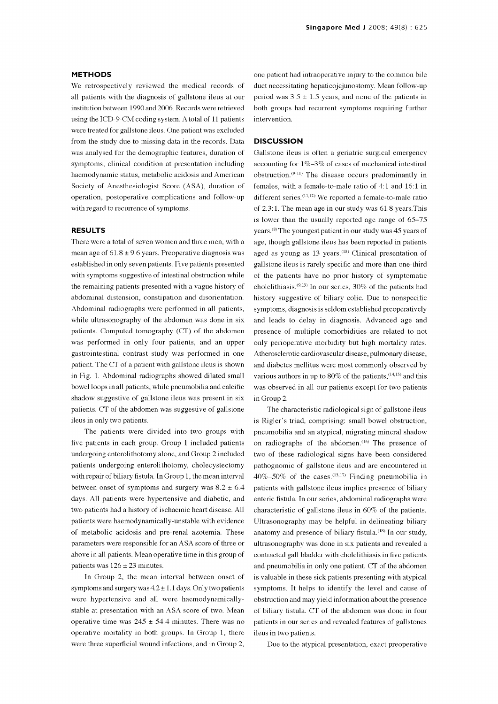#### METHODS

We retrospectively reviewed the medical records of all patients with the diagnosis of gallstone ileus at our institution between 1990 and 2006. Records were retrieved using the ICD-9-CM coding system. A total of 11 patients were treated for gallstone ileus. One patient was excluded from the study due to missing data in the records. Data was analysed for the demographic features, duration of symptoms, clinical condition at presentation including haemodynamic status, metabolic acidosis and American Society of Anesthesiologist Score (ASA), duration of operation, postoperative complications and follow-up with regard to recurrence of symptoms.

## RESULTS

There were a total of seven women and three men, with a mean age of  $61.8 \pm 9.6$  years. Preoperative diagnosis was established in only seven patients. Five patients presented with symptoms suggestive of intestinal obstruction while the remaining patients presented with a vague history of abdominal distension, constipation and disorientation. Abdominal radiographs were performed in all patients, while ultrasonography of the abdomen was done in six patients. Computed tomography (CT) of the abdomen was performed in only four patients, and an upper gastrointestinal contrast study was performed in one patient. The CT of a patient with gallstone ileus is shown in Fig. 1. Abdominal radiographs showed dilated small various authors in up to  $80\%$  of the patients,  $(14,15)$  and this bowel loops in all patients, while pneumobilia and calcific shadow suggestive of gallstone ileus was present in six patients. CT of the abdomen was suggestive of gallstone ileus in only two patients.

The patients were divided into two groups with five patients in each group. Group 1 included patients undergoing enterolithotomy alone, and Group 2 included patients undergoing enterolithotomy, cholecystectomy with repair of biliary fistula. In Group 1, the mean interval between onset of symptoms and surgery was  $8.2 \pm 6.4$ days. All patients were hypertensive and diabetic, and two patients had a history of ischaemic heart disease. All patients were haemodynamically-unstable with evidence of metabolic acidosis and pre -renal azotemia. These parameters were responsible for an ASA score of three or above in all patients. Mean operative time in this group of patients was  $126 \pm 23$  minutes.

In Group 2, the mean interval between onset of symptoms and surgery was  $4.2 \pm 1.1$  days. Only two patients were hypertensive and all were haemodynamicallystable at presentation with an ASA score of two. Mean operative time was  $245 \pm 54.4$  minutes. There was no operative mortality in both groups. In Group 1, there were three superficial wound infections, and in Group 2,

one patient had intraoperative injury to the common bile duct necessitating hepaticojejunostomy. Mean follow-up period was  $3.5 \pm 1.5$  years, and none of the patients in both groups had recurrent symptoms requiring further intervention.

## **DISCUSSION**

Gallstone ileus is often a geriatric surgical emergency accounting for  $1\% - 3\%$  of cases of mechanical intestinal obstruction.(9-11) The disease occurs predominantly in females, with a female -to-male ratio of 4:1 and 16:1 in different series.<sup>(11,12)</sup> We reported a female-to-male ratio of 2.3:1. The mean age in our study was 61.8 years.This is lower than the usually reported age range of 65-75 years.(\$) The youngest patient in our study was 45 years of age, though gallstone ileus has been reported in patients aged as young as  $13$  years.<sup>(13)</sup> Clinical presentation of gallstone ileus is rarely specific and more than one-third of the patients have no prior history of symptomatic cholelithiasis. $(9,13)$  In our series, 30% of the patients had history suggestive of biliary colic. Due to nonspecific symptoms, diagnosis is seldom established preoperatively and leads to delay in diagnosis. Advanced age and presence of multiple comorbidities are related to not only perioperative morbidity but high mortality rates. Atherosclerotic cardiovascular disease, pulmonary disease, and diabetes mellitus were most commonly observed by was observed in all our patients except for two patients in Group 2.

The characteristic radiological sign of gallstone ileus is Rigler's triad, comprising: small bowel obstruction, pneumobilia and an atypical, migrating mineral shadow on radiographs of the abdomen.<sup>(16)</sup> The presence of two of these radiological signs have been considered pathognomic of gallstone ileus and are encountered in  $40\% - 50\%$  of the cases.<sup>(13,17)</sup> Finding pneumobilia in patients with gallstone ileus implies presence of biliary enteric fistula. In our series, abdominal radiographs were characteristic of gallstone ileus in 60% of the patients. Ultrasonography may be helpful in delineating biliary anatomy and presence of biliary fistula.<sup>(18)</sup> In our study, ultrasonography was done in six patients and revealed a contracted gall bladder with cholelithiasis in five patients and pneumobilia in only one patient. CT of the abdomen is valuable in these sick patients presenting with atypical symptoms. It helps to identify the level and cause of obstruction and may yield information about the presence of biliary fistula. CT of the abdomen was done in four patients in our series and revealed features of gallstones ileus in two patients.

Due to the atypical presentation, exact preoperative